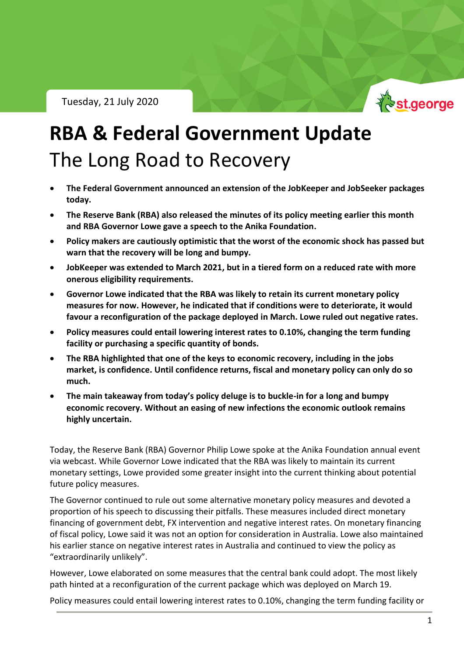Tuesday, 21 July 2020



# **RBA & Federal Government Update** The Long Road to Recovery

- **The Federal Government announced an extension of the JobKeeper and JobSeeker packages today.**
- **The Reserve Bank (RBA) also released the minutes of its policy meeting earlier this month and RBA Governor Lowe gave a speech to the Anika Foundation.**
- **Policy makers are cautiously optimistic that the worst of the economic shock has passed but warn that the recovery will be long and bumpy.**
- **JobKeeper was extended to March 2021, but in a tiered form on a reduced rate with more onerous eligibility requirements.**
- **Governor Lowe indicated that the RBA was likely to retain its current monetary policy measures for now. However, he indicated that if conditions were to deteriorate, it would favour a reconfiguration of the package deployed in March. Lowe ruled out negative rates.**
- **Policy measures could entail lowering interest rates to 0.10%, changing the term funding facility or purchasing a specific quantity of bonds.**
- **The RBA highlighted that one of the keys to economic recovery, including in the jobs market, is confidence. Until confidence returns, fiscal and monetary policy can only do so much.**
- **The main takeaway from today's policy deluge is to buckle-in for a long and bumpy economic recovery. Without an easing of new infections the economic outlook remains highly uncertain.**

Today, the Reserve Bank (RBA) Governor Philip Lowe spoke at the Anika Foundation annual event via webcast. While Governor Lowe indicated that the RBA was likely to maintain its current monetary settings, Lowe provided some greater insight into the current thinking about potential future policy measures.

The Governor continued to rule out some alternative monetary policy measures and devoted a proportion of his speech to discussing their pitfalls. These measures included direct monetary financing of government debt, FX intervention and negative interest rates. On monetary financing of fiscal policy, Lowe said it was not an option for consideration in Australia. Lowe also maintained his earlier stance on negative interest rates in Australia and continued to view the policy as "extraordinarily unlikely".

However, Lowe elaborated on some measures that the central bank could adopt. The most likely path hinted at a reconfiguration of the current package which was deployed on March 19.

Policy measures could entail lowering interest rates to 0.10%, changing the term funding facility or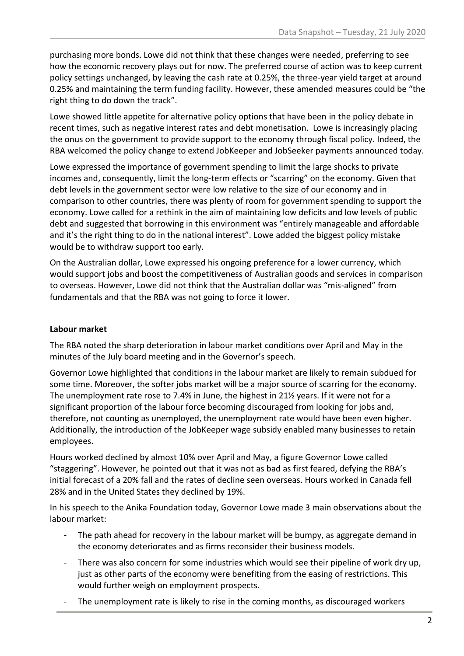purchasing more bonds. Lowe did not think that these changes were needed, preferring to see how the economic recovery plays out for now. The preferred course of action was to keep current policy settings unchanged, by leaving the cash rate at 0.25%, the three-year yield target at around 0.25% and maintaining the term funding facility. However, these amended measures could be "the right thing to do down the track".

Lowe showed little appetite for alternative policy options that have been in the policy debate in recent times, such as negative interest rates and debt monetisation. Lowe is increasingly placing the onus on the government to provide support to the economy through fiscal policy. Indeed, the RBA welcomed the policy change to extend JobKeeper and JobSeeker payments announced today.

Lowe expressed the importance of government spending to limit the large shocks to private incomes and, consequently, limit the long-term effects or "scarring" on the economy. Given that debt levels in the government sector were low relative to the size of our economy and in comparison to other countries, there was plenty of room for government spending to support the economy. Lowe called for a rethink in the aim of maintaining low deficits and low levels of public debt and suggested that borrowing in this environment was "entirely manageable and affordable and it's the right thing to do in the national interest". Lowe added the biggest policy mistake would be to withdraw support too early.

On the Australian dollar, Lowe expressed his ongoing preference for a lower currency, which would support jobs and boost the competitiveness of Australian goods and services in comparison to overseas. However, Lowe did not think that the Australian dollar was "mis-aligned" from fundamentals and that the RBA was not going to force it lower.

### **Labour market**

The RBA noted the sharp deterioration in labour market conditions over April and May in the minutes of the July board meeting and in the Governor's speech.

Governor Lowe highlighted that conditions in the labour market are likely to remain subdued for some time. Moreover, the softer jobs market will be a major source of scarring for the economy. The unemployment rate rose to 7.4% in June, the highest in 21½ years. If it were not for a significant proportion of the labour force becoming discouraged from looking for jobs and, therefore, not counting as unemployed, the unemployment rate would have been even higher. Additionally, the introduction of the JobKeeper wage subsidy enabled many businesses to retain employees.

Hours worked declined by almost 10% over April and May, a figure Governor Lowe called "staggering". However, he pointed out that it was not as bad as first feared, defying the RBA's initial forecast of a 20% fall and the rates of decline seen overseas. Hours worked in Canada fell 28% and in the United States they declined by 19%.

In his speech to the Anika Foundation today, Governor Lowe made 3 main observations about the labour market:

- The path ahead for recovery in the labour market will be bumpy, as aggregate demand in the economy deteriorates and as firms reconsider their business models.
- There was also concern for some industries which would see their pipeline of work dry up, just as other parts of the economy were benefiting from the easing of restrictions. This would further weigh on employment prospects.
- The unemployment rate is likely to rise in the coming months, as discouraged workers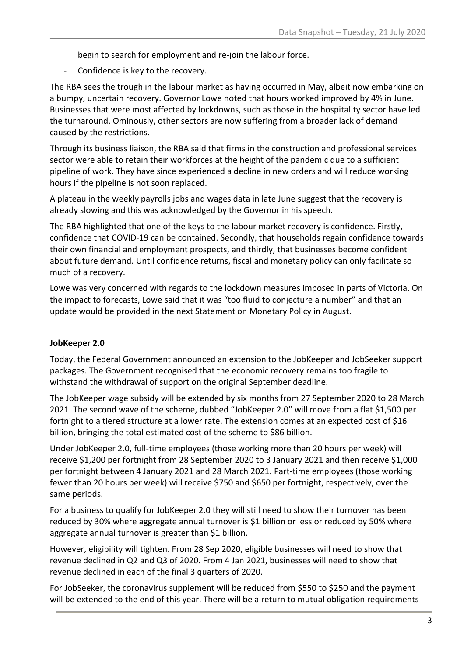begin to search for employment and re-join the labour force.

- Confidence is key to the recovery.

The RBA sees the trough in the labour market as having occurred in May, albeit now embarking on a bumpy, uncertain recovery. Governor Lowe noted that hours worked improved by 4% in June. Businesses that were most affected by lockdowns, such as those in the hospitality sector have led the turnaround. Ominously, other sectors are now suffering from a broader lack of demand caused by the restrictions.

Through its business liaison, the RBA said that firms in the construction and professional services sector were able to retain their workforces at the height of the pandemic due to a sufficient pipeline of work. They have since experienced a decline in new orders and will reduce working hours if the pipeline is not soon replaced.

A plateau in the weekly payrolls jobs and wages data in late June suggest that the recovery is already slowing and this was acknowledged by the Governor in his speech.

The RBA highlighted that one of the keys to the labour market recovery is confidence. Firstly, confidence that COVID-19 can be contained. Secondly, that households regain confidence towards their own financial and employment prospects, and thirdly, that businesses become confident about future demand. Until confidence returns, fiscal and monetary policy can only facilitate so much of a recovery.

Lowe was very concerned with regards to the lockdown measures imposed in parts of Victoria. On the impact to forecasts, Lowe said that it was "too fluid to conjecture a number" and that an update would be provided in the next Statement on Monetary Policy in August.

#### **JobKeeper 2.0**

Today, the Federal Government announced an extension to the JobKeeper and JobSeeker support packages. The Government recognised that the economic recovery remains too fragile to withstand the withdrawal of support on the original September deadline.

The JobKeeper wage subsidy will be extended by six months from 27 September 2020 to 28 March 2021. The second wave of the scheme, dubbed "JobKeeper 2.0" will move from a flat \$1,500 per fortnight to a tiered structure at a lower rate. The extension comes at an expected cost of \$16 billion, bringing the total estimated cost of the scheme to \$86 billion.

Under JobKeeper 2.0, full-time employees (those working more than 20 hours per week) will receive \$1,200 per fortnight from 28 September 2020 to 3 January 2021 and then receive \$1,000 per fortnight between 4 January 2021 and 28 March 2021. Part-time employees (those working fewer than 20 hours per week) will receive \$750 and \$650 per fortnight, respectively, over the same periods.

For a business to qualify for JobKeeper 2.0 they will still need to show their turnover has been reduced by 30% where aggregate annual turnover is \$1 billion or less or reduced by 50% where aggregate annual turnover is greater than \$1 billion.

However, eligibility will tighten. From 28 Sep 2020, eligible businesses will need to show that revenue declined in Q2 and Q3 of 2020. From 4 Jan 2021, businesses will need to show that revenue declined in each of the final 3 quarters of 2020.

For JobSeeker, the coronavirus supplement will be reduced from \$550 to \$250 and the payment will be extended to the end of this year. There will be a return to mutual obligation requirements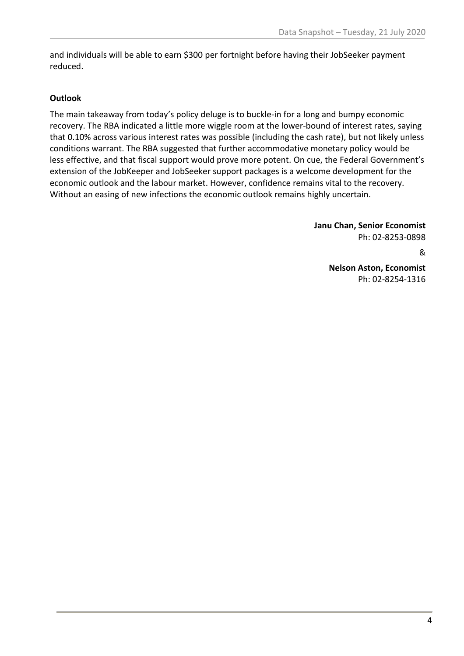and individuals will be able to earn \$300 per fortnight before having their JobSeeker payment reduced.

### **Outlook**

The main takeaway from today's policy deluge is to buckle-in for a long and bumpy economic recovery. The RBA indicated a little more wiggle room at the lower-bound of interest rates, saying that 0.10% across various interest rates was possible (including the cash rate), but not likely unless conditions warrant. The RBA suggested that further accommodative monetary policy would be less effective, and that fiscal support would prove more potent. On cue, the Federal Government's extension of the JobKeeper and JobSeeker support packages is a welcome development for the economic outlook and the labour market. However, confidence remains vital to the recovery. Without an easing of new infections the economic outlook remains highly uncertain.

> **Janu Chan, Senior Economist** Ph: 02-8253-0898 & **Nelson Aston, Economist** Ph: 02-8254-1316